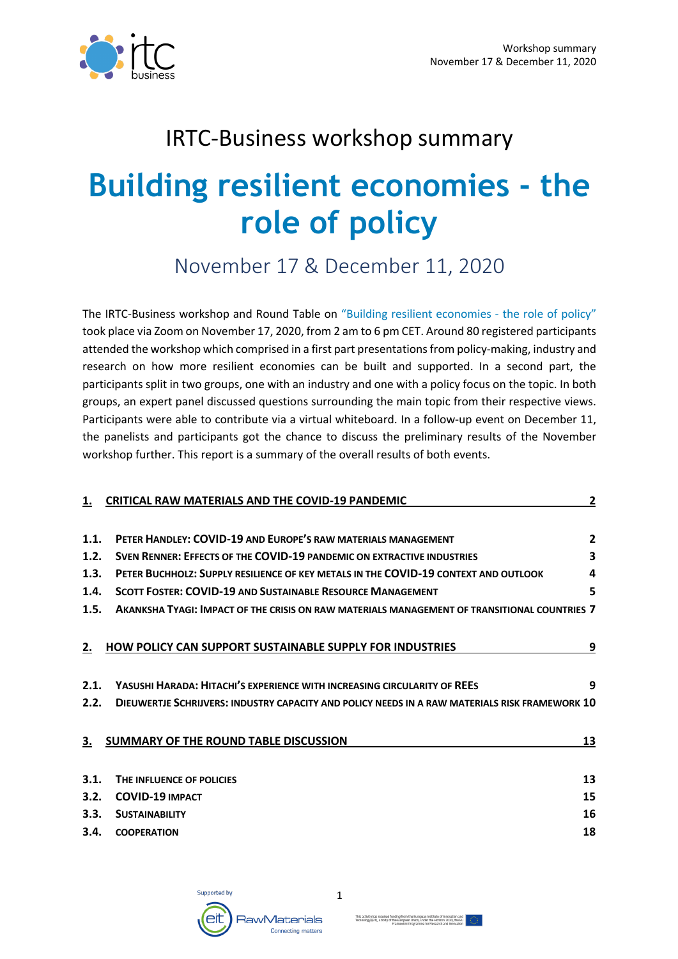

## IRTC-Business workshop summary

# **Building resilient economies - the role of policy**

November 17 & December 11, 2020

The IRTC-Business workshop and Round Table on "Building resilient economies - the role of policy" took place via Zoom on November 17, 2020, from 2 am to 6 pm CET. Around 80 registered participants attended the workshop which comprised in a first part presentationsfrom policy-making, industry and research on how more resilient economies can be built and supported. In a second part, the participants split in two groups, one with an industry and one with a policy focus on the topic. In both groups, an expert panel discussed questions surrounding the main topic from their respective views. Participants were able to contribute via a virtual whiteboard. In a follow-up event on December 11, the panelists and participants got the chance to discuss the preliminary results of the November workshop further. This report is a summary of the overall results of both events.

|      | <b>CRITICAL RAW MATERIALS AND THE COVID-19 PANDEMIC</b>                                        | $\overline{\mathbf{c}}$ |
|------|------------------------------------------------------------------------------------------------|-------------------------|
|      |                                                                                                |                         |
| 1.1. | PETER HANDLEY: COVID-19 AND EUROPE'S RAW MATERIALS MANAGEMENT                                  | $\mathbf{2}$            |
| 1.2. | SVEN RENNER: EFFECTS OF THE COVID-19 PANDEMIC ON EXTRACTIVE INDUSTRIES                         | 3                       |
| 1.3. | PETER BUCHHOLZ: SUPPLY RESILIENCE OF KEY METALS IN THE COVID-19 CONTEXT AND OUTLOOK            | 4                       |
| 1.4. | <b>SCOTT FOSTER: COVID-19 AND SUSTAINABLE RESOURCE MANAGEMENT</b>                              | 5                       |
| 1.5. | AKANKSHA TYAGI: IMPACT OF THE CRISIS ON RAW MATERIALS MANAGEMENT OF TRANSITIONAL COUNTRIES 7   |                         |
|      |                                                                                                |                         |
| 2.   | <b>HOW POLICY CAN SUPPORT SUSTAINABLE SUPPLY FOR INDUSTRIES</b>                                | 9                       |
|      |                                                                                                |                         |
| 2.1. | YASUSHI HARADA: HITACHI'S EXPERIENCE WITH INCREASING CIRCULARITY OF REES                       | 9                       |
| 2.2. | DIEUWERTJE SCHRIJVERS: INDUSTRY CAPACITY AND POLICY NEEDS IN A RAW MATERIALS RISK FRAMEWORK 10 |                         |
|      |                                                                                                |                         |
| З.   | SUMMARY OF THE ROUND TABLE DISCUSSION                                                          | 13                      |
|      |                                                                                                |                         |
| 3.1. | THE INFLUENCE OF POLICIES                                                                      | 13                      |
| 3.2. | <b>COVID-19 IMPACT</b>                                                                         | 15                      |
| 3.3. | <b>SUSTAINABILITY</b>                                                                          | 16                      |
| 3.4. | <b>COOPERATION</b>                                                                             | 18                      |
|      |                                                                                                |                         |



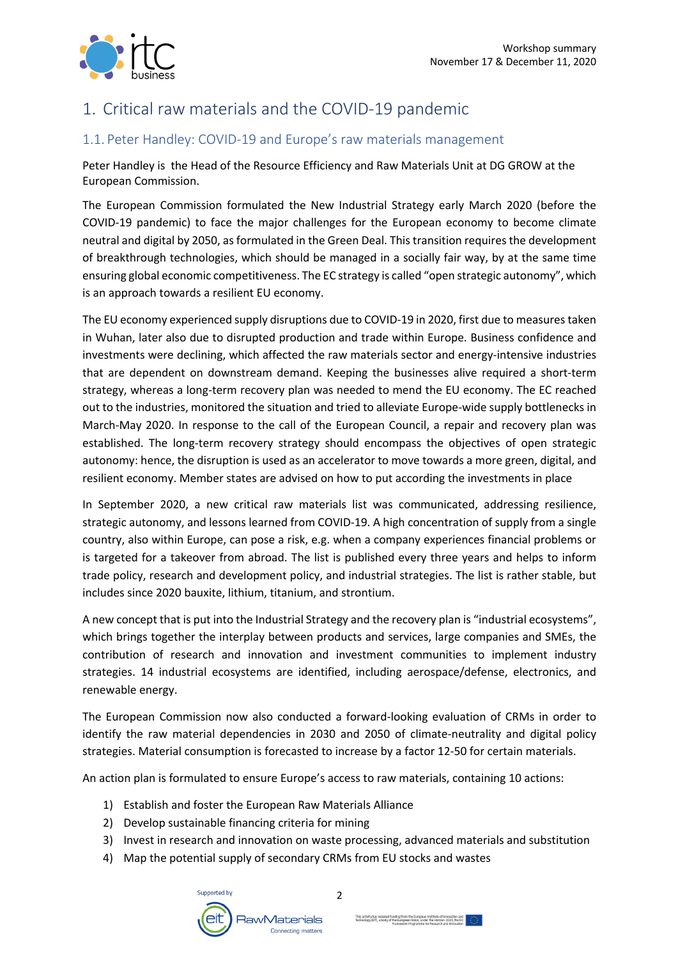

## 1. Critical raw materials and the COVID-19 pandemic

#### 1.1. Peter Handley: COVID-19 and Europe's raw materials management

Peter Handley is the Head of the Resource Efficiency and Raw Materials Unit at DG GROW at the European Commission.

The European Commission formulated the New Industrial Strategy early March 2020 (before the COVID-19 pandemic) to face the major challenges for the European economy to become climate neutral and digital by 2050, as formulated in the Green Deal. This transition requires the development of breakthrough technologies, which should be managed in a socially fair way, by at the same time ensuring global economic competitiveness. The EC strategy is called "open strategic autonomy", which is an approach towards a resilient EU economy.

The EU economy experienced supply disruptions due to COVID-19 in 2020, first due to measures taken in Wuhan, later also due to disrupted production and trade within Europe. Business confidence and investments were declining, which affected the raw materials sector and energy-intensive industries that are dependent on downstream demand. Keeping the businesses alive required a short-term strategy, whereas a long-term recovery plan was needed to mend the EU economy. The EC reached out to the industries, monitored the situation and tried to alleviate Europe-wide supply bottlenecks in March-May 2020. In response to the call of the European Council, a repair and recovery plan was established. The long-term recovery strategy should encompass the objectives of open strategic autonomy: hence, the disruption is used as an accelerator to move towards a more green, digital, and resilient economy. Member states are advised on how to put according the investments in place

In September 2020, a new critical raw materials list was communicated, addressing resilience, strategic autonomy, and lessons learned from COVID-19. A high concentration of supply from a single country, also within Europe, can pose a risk, e.g. when a company experiences financial problems or is targeted for a takeover from abroad. The list is published every three years and helps to inform trade policy, research and development policy, and industrial strategies. The list is rather stable, but includes since 2020 bauxite, lithium, titanium, and strontium.

A new concept that is put into the Industrial Strategy and the recovery plan is "industrial ecosystems", which brings together the interplay between products and services, large companies and SMEs, the contribution of research and innovation and investment communities to implement industry strategies. 14 industrial ecosystems are identified, including aerospace/defense, electronics, and renewable energy.

The European Commission now also conducted a forward-looking evaluation of CRMs in order to identify the raw material dependencies in 2030 and 2050 of climate-neutrality and digital policy strategies. Material consumption is forecasted to increase by a factor 12-50 for certain materials.

An action plan is formulated to ensure Europe's access to raw materials, containing 10 actions:

- 1) Establish and foster the European Raw Materials Alliance
- 2) Develop sustainable financing criteria for mining
- 3) Invest in research and innovation on waste processing, advanced materials and substitution
- 4) Map the potential supply of secondary CRMs from EU stocks and wastes

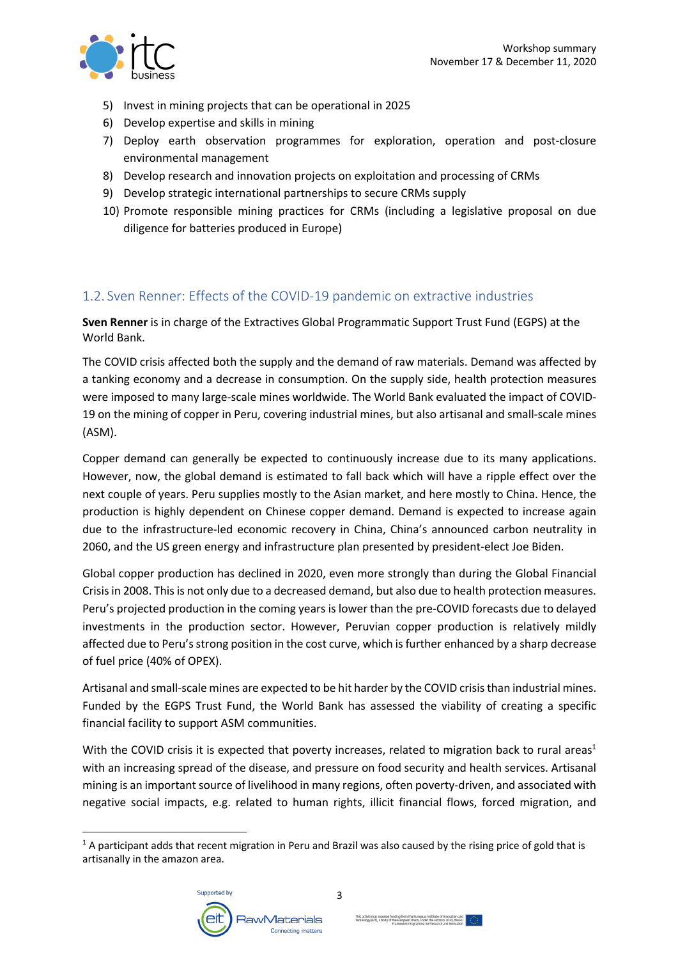

- 5) Invest in mining projects that can be operational in 2025
- 6) Develop expertise and skills in mining
- 7) Deploy earth observation programmes for exploration, operation and post-closure environmental management
- 8) Develop research and innovation projects on exploitation and processing of CRMs
- 9) Develop strategic international partnerships to secure CRMs supply
- 10) Promote responsible mining practices for CRMs (including a legislative proposal on due diligence for batteries produced in Europe)

#### 1.2. Sven Renner: Effects of the COVID-19 pandemic on extractive industries

**Sven Renner** is in charge of the Extractives Global Programmatic Support Trust Fund (EGPS) at the World Bank.

The COVID crisis affected both the supply and the demand of raw materials. Demand was affected by a tanking economy and a decrease in consumption. On the supply side, health protection measures were imposed to many large-scale mines worldwide. The World Bank evaluated the impact of COVID-19 on the mining of copper in Peru, covering industrial mines, but also artisanal and small-scale mines (ASM).

Copper demand can generally be expected to continuously increase due to its many applications. However, now, the global demand is estimated to fall back which will have a ripple effect over the next couple of years. Peru supplies mostly to the Asian market, and here mostly to China. Hence, the production is highly dependent on Chinese copper demand. Demand is expected to increase again due to the infrastructure-led economic recovery in China, China's announced carbon neutrality in 2060, and the US green energy and infrastructure plan presented by president-elect Joe Biden.

Global copper production has declined in 2020, even more strongly than during the Global Financial Crisis in 2008. This is not only due to a decreased demand, but also due to health protection measures. Peru's projected production in the coming years is lower than the pre-COVID forecasts due to delayed investments in the production sector. However, Peruvian copper production is relatively mildly affected due to Peru's strong position in the cost curve, which is further enhanced by a sharp decrease of fuel price (40% of OPEX).

Artisanal and small-scale mines are expected to be hit harder by the COVID crisis than industrial mines. Funded by the EGPS Trust Fund, the World Bank has assessed the viability of creating a specific financial facility to support ASM communities.

With the COVID crisis it is expected that poverty increases, related to migration back to rural areas<sup>1</sup> with an increasing spread of the disease, and pressure on food security and health services. Artisanal mining is an important source of livelihood in many regions, often poverty-driven, and associated with negative social impacts, e.g. related to human rights, illicit financial flows, forced migration, and

 $1$  A participant adds that recent migration in Peru and Brazil was also caused by the rising price of gold that is artisanally in the amazon area.

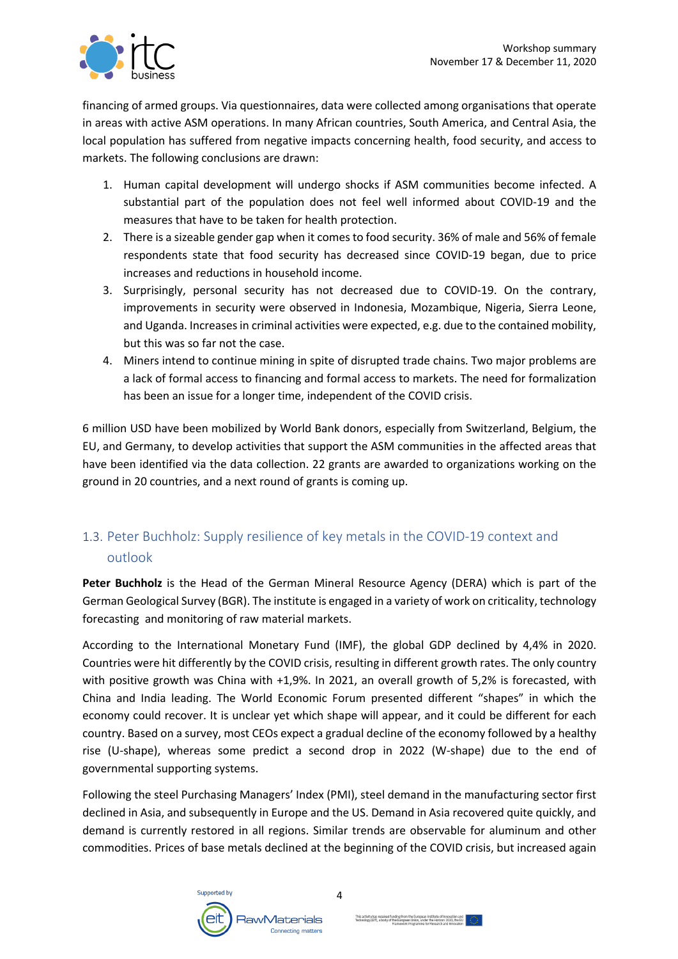

financing of armed groups. Via questionnaires, data were collected among organisations that operate in areas with active ASM operations. In many African countries, South America, and Central Asia, the local population has suffered from negative impacts concerning health, food security, and access to markets. The following conclusions are drawn:

- 1. Human capital development will undergo shocks if ASM communities become infected. A substantial part of the population does not feel well informed about COVID-19 and the measures that have to be taken for health protection.
- 2. There is a sizeable gender gap when it comes to food security. 36% of male and 56% of female respondents state that food security has decreased since COVID-19 began, due to price increases and reductions in household income.
- 3. Surprisingly, personal security has not decreased due to COVID-19. On the contrary, improvements in security were observed in Indonesia, Mozambique, Nigeria, Sierra Leone, and Uganda. Increases in criminal activities were expected, e.g. due to the contained mobility, but this was so far not the case.
- 4. Miners intend to continue mining in spite of disrupted trade chains. Two major problems are a lack of formal access to financing and formal access to markets. The need for formalization has been an issue for a longer time, independent of the COVID crisis.

6 million USD have been mobilized by World Bank donors, especially from Switzerland, Belgium, the EU, and Germany, to develop activities that support the ASM communities in the affected areas that have been identified via the data collection. 22 grants are awarded to organizations working on the ground in 20 countries, and a next round of grants is coming up.

## 1.3. Peter Buchholz: Supply resilience of key metals in the COVID-19 context and outlook

**Peter Buchholz** is the Head of the German Mineral Resource Agency (DERA) which is part of the German Geological Survey (BGR). The institute is engaged in a variety of work on criticality, technology forecasting and monitoring of raw material markets.

According to the International Monetary Fund (IMF), the global GDP declined by 4,4% in 2020. Countries were hit differently by the COVID crisis, resulting in different growth rates. The only country with positive growth was China with +1,9%. In 2021, an overall growth of 5,2% is forecasted, with China and India leading. The World Economic Forum presented different "shapes" in which the economy could recover. It is unclear yet which shape will appear, and it could be different for each country. Based on a survey, most CEOs expect a gradual decline of the economy followed by a healthy rise (U-shape), whereas some predict a second drop in 2022 (W-shape) due to the end of governmental supporting systems.

Following the steel Purchasing Managers' Index (PMI), steel demand in the manufacturing sector first declined in Asia, and subsequently in Europe and the US. Demand in Asia recovered quite quickly, and demand is currently restored in all regions. Similar trends are observable for aluminum and other commodities. Prices of base metals declined at the beginning of the COVID crisis, but increased again

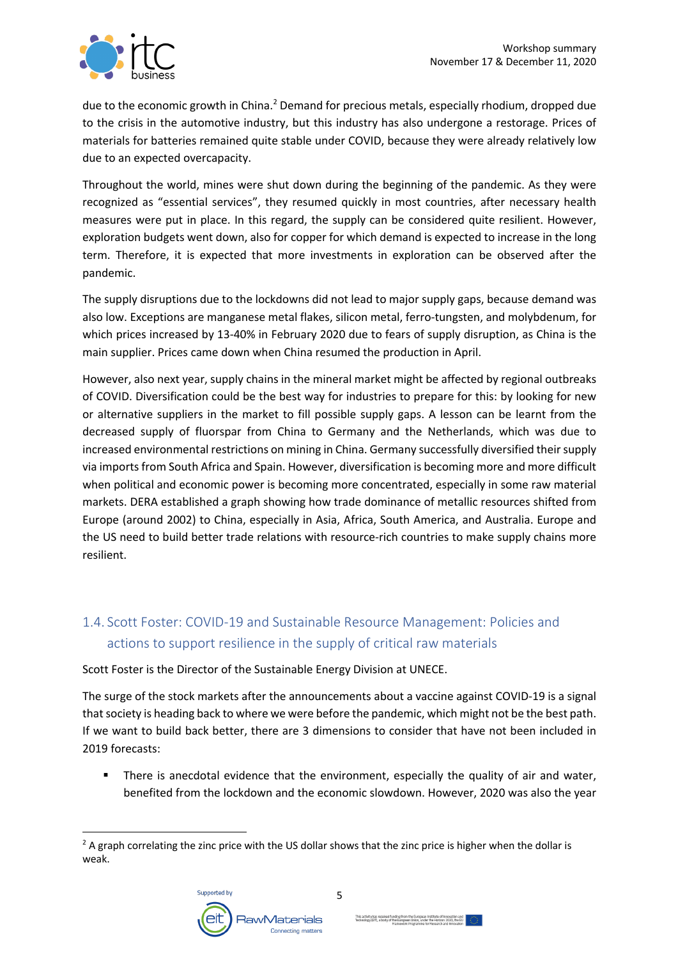

due to the economic growth in China.<sup>2</sup> Demand for precious metals, especially rhodium, dropped due to the crisis in the automotive industry, but this industry has also undergone a restorage. Prices of materials for batteries remained quite stable under COVID, because they were already relatively low due to an expected overcapacity.

Throughout the world, mines were shut down during the beginning of the pandemic. As they were recognized as "essential services", they resumed quickly in most countries, after necessary health measures were put in place. In this regard, the supply can be considered quite resilient. However, exploration budgets went down, also for copper for which demand is expected to increase in the long term. Therefore, it is expected that more investments in exploration can be observed after the pandemic.

The supply disruptions due to the lockdowns did not lead to major supply gaps, because demand was also low. Exceptions are manganese metal flakes, silicon metal, ferro-tungsten, and molybdenum, for which prices increased by 13-40% in February 2020 due to fears of supply disruption, as China is the main supplier. Prices came down when China resumed the production in April.

However, also next year, supply chains in the mineral market might be affected by regional outbreaks of COVID. Diversification could be the best way for industries to prepare for this: by looking for new or alternative suppliers in the market to fill possible supply gaps. A lesson can be learnt from the decreased supply of fluorspar from China to Germany and the Netherlands, which was due to increased environmental restrictions on mining in China. Germany successfully diversified their supply via imports from South Africa and Spain. However, diversification is becoming more and more difficult when political and economic power is becoming more concentrated, especially in some raw material markets. DERA established a graph showing how trade dominance of metallic resources shifted from Europe (around 2002) to China, especially in Asia, Africa, South America, and Australia. Europe and the US need to build better trade relations with resource-rich countries to make supply chains more resilient.

## 1.4. Scott Foster: COVID-19 and Sustainable Resource Management: Policies and actions to support resilience in the supply of critical raw materials

Scott Foster is the Director of the Sustainable Energy Division at UNECE.

The surge of the stock markets after the announcements about a vaccine against COVID-19 is a signal that society is heading back to where we were before the pandemic, which might not be the best path. If we want to build back better, there are 3 dimensions to consider that have not been included in 2019 forecasts:

■ There is anecdotal evidence that the environment, especially the quality of air and water, benefited from the lockdown and the economic slowdown. However, 2020 was also the year

 $<sup>2</sup>$  A graph correlating the zinc price with the US dollar shows that the zinc price is higher when the dollar is</sup> weak.

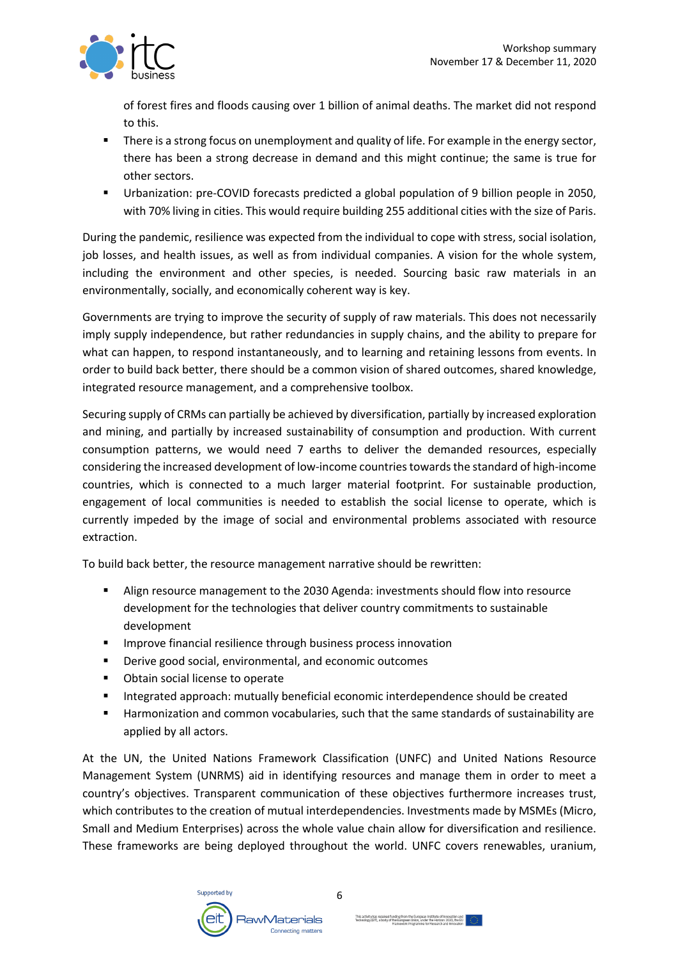

of forest fires and floods causing over 1 billion of animal deaths. The market did not respond to this.

- There is a strong focus on unemployment and quality of life. For example in the energy sector, there has been a strong decrease in demand and this might continue; the same is true for other sectors.
- § Urbanization: pre-COVID forecasts predicted a global population of 9 billion people in 2050, with 70% living in cities. This would require building 255 additional cities with the size of Paris.

During the pandemic, resilience was expected from the individual to cope with stress, social isolation, job losses, and health issues, as well as from individual companies. A vision for the whole system, including the environment and other species, is needed. Sourcing basic raw materials in an environmentally, socially, and economically coherent way is key.

Governments are trying to improve the security of supply of raw materials. This does not necessarily imply supply independence, but rather redundancies in supply chains, and the ability to prepare for what can happen, to respond instantaneously, and to learning and retaining lessons from events. In order to build back better, there should be a common vision of shared outcomes, shared knowledge, integrated resource management, and a comprehensive toolbox.

Securing supply of CRMs can partially be achieved by diversification, partially by increased exploration and mining, and partially by increased sustainability of consumption and production. With current consumption patterns, we would need 7 earths to deliver the demanded resources, especially considering the increased development of low-income countriestowards the standard of high-income countries, which is connected to a much larger material footprint. For sustainable production, engagement of local communities is needed to establish the social license to operate, which is currently impeded by the image of social and environmental problems associated with resource extraction.

To build back better, the resource management narrative should be rewritten:

- § Align resource management to the 2030 Agenda: investments should flow into resource development for the technologies that deliver country commitments to sustainable development
- Improve financial resilience through business process innovation
- Derive good social, environmental, and economic outcomes
- Obtain social license to operate
- Integrated approach: mutually beneficial economic interdependence should be created
- Harmonization and common vocabularies, such that the same standards of sustainability are applied by all actors.

At the UN, the United Nations Framework Classification (UNFC) and United Nations Resource Management System (UNRMS) aid in identifying resources and manage them in order to meet a country's objectives. Transparent communication of these objectives furthermore increases trust, which contributes to the creation of mutual interdependencies. Investments made by MSMEs (Micro, Small and Medium Enterprises) across the whole value chain allow for diversification and resilience. These frameworks are being deployed throughout the world. UNFC covers renewables, uranium,

6

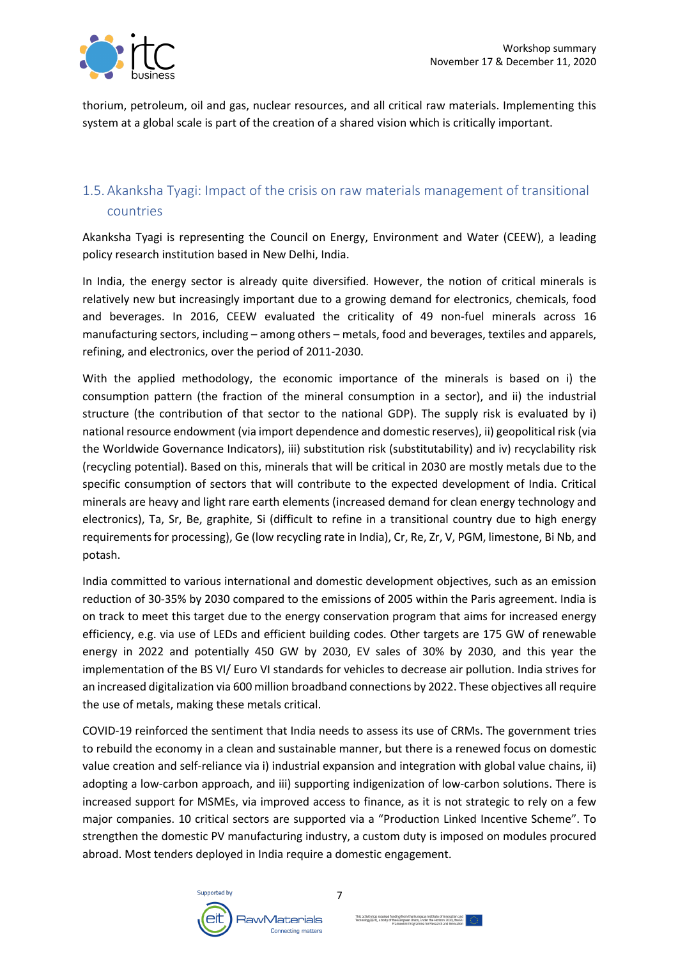

thorium, petroleum, oil and gas, nuclear resources, and all critical raw materials. Implementing this system at a global scale is part of the creation of a shared vision which is critically important.

### 1.5. Akanksha Tyagi: Impact of the crisis on raw materials management of transitional countries

Akanksha Tyagi is representing the Council on Energy, Environment and Water (CEEW), a leading policy research institution based in New Delhi, India.

In India, the energy sector is already quite diversified. However, the notion of critical minerals is relatively new but increasingly important due to a growing demand for electronics, chemicals, food and beverages. In 2016, CEEW evaluated the criticality of 49 non-fuel minerals across 16 manufacturing sectors, including – among others – metals, food and beverages, textiles and apparels, refining, and electronics, over the period of 2011-2030.

With the applied methodology, the economic importance of the minerals is based on i) the consumption pattern (the fraction of the mineral consumption in a sector), and ii) the industrial structure (the contribution of that sector to the national GDP). The supply risk is evaluated by i) national resource endowment (via import dependence and domestic reserves), ii) geopolitical risk (via the Worldwide Governance Indicators), iii) substitution risk (substitutability) and iv) recyclability risk (recycling potential). Based on this, minerals that will be critical in 2030 are mostly metals due to the specific consumption of sectors that will contribute to the expected development of India. Critical minerals are heavy and light rare earth elements (increased demand for clean energy technology and electronics), Ta, Sr, Be, graphite, Si (difficult to refine in a transitional country due to high energy requirements for processing), Ge (low recycling rate in India), Cr, Re, Zr, V, PGM, limestone, Bi Nb, and potash.

India committed to various international and domestic development objectives, such as an emission reduction of 30-35% by 2030 compared to the emissions of 2005 within the Paris agreement. India is on track to meet this target due to the energy conservation program that aims for increased energy efficiency, e.g. via use of LEDs and efficient building codes. Other targets are 175 GW of renewable energy in 2022 and potentially 450 GW by 2030, EV sales of 30% by 2030, and this year the implementation of the BS VI/ Euro VI standards for vehicles to decrease air pollution. India strives for an increased digitalization via 600 million broadband connections by 2022. These objectives all require the use of metals, making these metals critical.

COVID-19 reinforced the sentiment that India needs to assess its use of CRMs. The government tries to rebuild the economy in a clean and sustainable manner, but there is a renewed focus on domestic value creation and self-reliance via i) industrial expansion and integration with global value chains, ii) adopting a low-carbon approach, and iii) supporting indigenization of low-carbon solutions. There is increased support for MSMEs, via improved access to finance, as it is not strategic to rely on a few major companies. 10 critical sectors are supported via a "Production Linked Incentive Scheme". To strengthen the domestic PV manufacturing industry, a custom duty is imposed on modules procured abroad. Most tenders deployed in India require a domestic engagement.

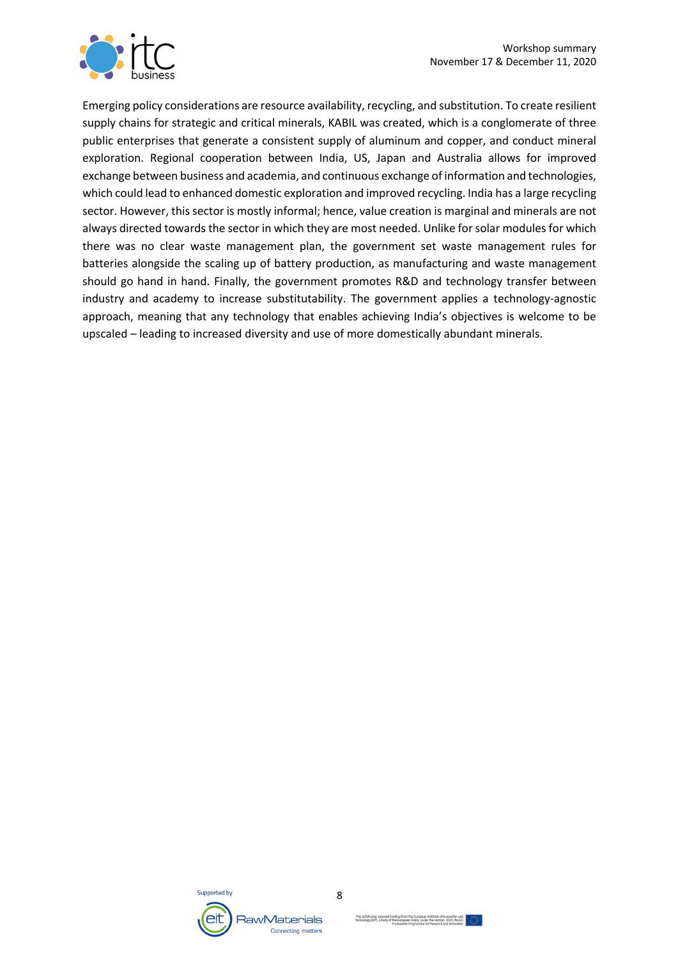

Emerging policy considerations are resource availability, recycling, and substitution. To create resilient supply chains for strategic and critical minerals, KABIL was created, which is a conglomerate of three public enterprises that generate a consistent supply of aluminum and copper, and conduct mineral exploration. Regional cooperation between India, US, Japan and Australia allows for improved exchange between business and academia, and continuous exchange of information and technologies, which could lead to enhanced domestic exploration and improved recycling. India has a large recycling sector. However, this sector is mostly informal; hence, value creation is marginal and minerals are not always directed towards the sector in which they are most needed. Unlike for solar modules for which there was no clear waste management plan, the government set waste management rules for batteries alongside the scaling up of battery production, as manufacturing and waste management should go hand in hand. Finally, the government promotes R&D and technology transfer between industry and academy to increase substitutability. The government applies a technology-agnostic approach, meaning that any technology that enables achieving India's objectives is welcome to be upscaled – leading to increased diversity and use of more domestically abundant minerals.



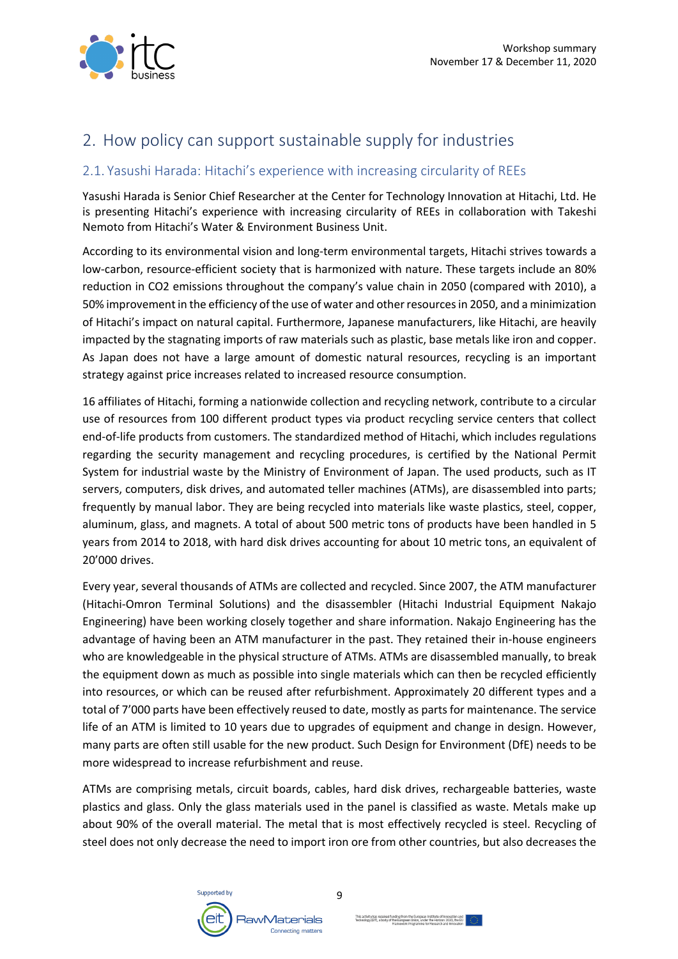

## 2. How policy can support sustainable supply for industries

#### 2.1. Yasushi Harada: Hitachi's experience with increasing circularity of REEs

Yasushi Harada is Senior Chief Researcher at the Center for Technology Innovation at Hitachi, Ltd. He is presenting Hitachi's experience with increasing circularity of REEs in collaboration with Takeshi Nemoto from Hitachi's Water & Environment Business Unit.

According to its environmental vision and long-term environmental targets, Hitachi strives towards a low-carbon, resource-efficient society that is harmonized with nature. These targets include an 80% reduction in CO2 emissions throughout the company's value chain in 2050 (compared with 2010), a 50% improvement in the efficiency of the use of water and other resources in 2050, and a minimization of Hitachi's impact on natural capital. Furthermore, Japanese manufacturers, like Hitachi, are heavily impacted by the stagnating imports of raw materials such as plastic, base metals like iron and copper. As Japan does not have a large amount of domestic natural resources, recycling is an important strategy against price increases related to increased resource consumption.

16 affiliates of Hitachi, forming a nationwide collection and recycling network, contribute to a circular use of resources from 100 different product types via product recycling service centers that collect end-of-life products from customers. The standardized method of Hitachi, which includes regulations regarding the security management and recycling procedures, is certified by the National Permit System for industrial waste by the Ministry of Environment of Japan. The used products, such as IT servers, computers, disk drives, and automated teller machines (ATMs), are disassembled into parts; frequently by manual labor. They are being recycled into materials like waste plastics, steel, copper, aluminum, glass, and magnets. A total of about 500 metric tons of products have been handled in 5 years from 2014 to 2018, with hard disk drives accounting for about 10 metric tons, an equivalent of 20'000 drives.

Every year, several thousands of ATMs are collected and recycled. Since 2007, the ATM manufacturer (Hitachi-Omron Terminal Solutions) and the disassembler (Hitachi Industrial Equipment Nakajo Engineering) have been working closely together and share information. Nakajo Engineering has the advantage of having been an ATM manufacturer in the past. They retained their in-house engineers who are knowledgeable in the physical structure of ATMs. ATMs are disassembled manually, to break the equipment down as much as possible into single materials which can then be recycled efficiently into resources, or which can be reused after refurbishment. Approximately 20 different types and a total of 7'000 parts have been effectively reused to date, mostly as parts for maintenance. The service life of an ATM is limited to 10 years due to upgrades of equipment and change in design. However, many parts are often still usable for the new product. Such Design for Environment (DfE) needs to be more widespread to increase refurbishment and reuse.

ATMs are comprising metals, circuit boards, cables, hard disk drives, rechargeable batteries, waste plastics and glass. Only the glass materials used in the panel is classified as waste. Metals make up about 90% of the overall material. The metal that is most effectively recycled is steel. Recycling of steel does not only decrease the need to import iron ore from other countries, but also decreases the

9

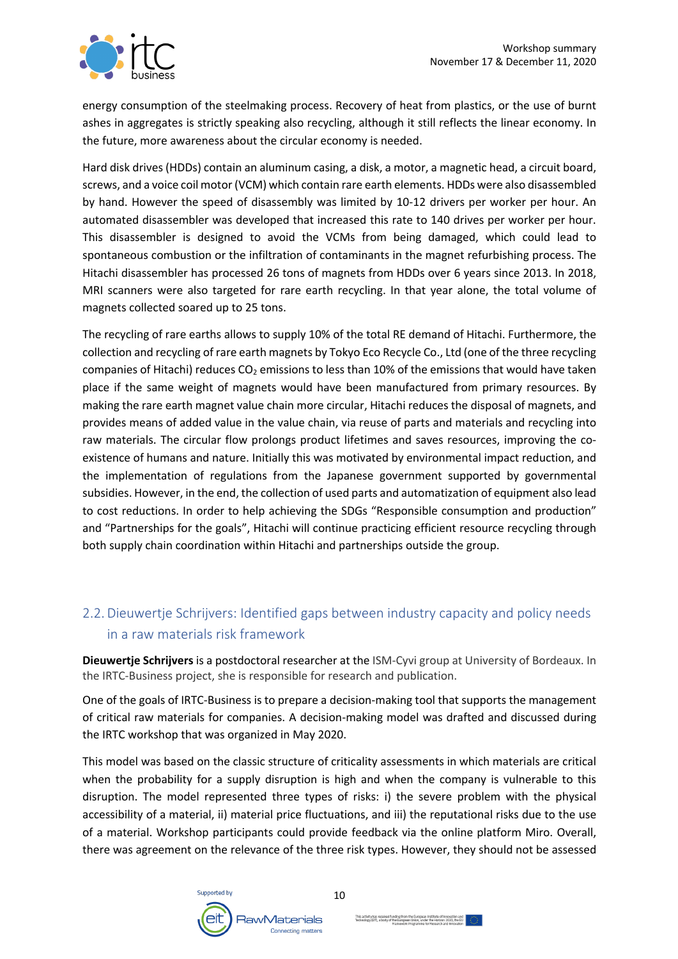

energy consumption of the steelmaking process. Recovery of heat from plastics, or the use of burnt ashes in aggregates is strictly speaking also recycling, although it still reflects the linear economy. In the future, more awareness about the circular economy is needed.

Hard disk drives (HDDs) contain an aluminum casing, a disk, a motor, a magnetic head, a circuit board, screws, and a voice coil motor (VCM) which contain rare earth elements. HDDs were also disassembled by hand. However the speed of disassembly was limited by 10-12 drivers per worker per hour. An automated disassembler was developed that increased this rate to 140 drives per worker per hour. This disassembler is designed to avoid the VCMs from being damaged, which could lead to spontaneous combustion or the infiltration of contaminants in the magnet refurbishing process. The Hitachi disassembler has processed 26 tons of magnets from HDDs over 6 years since 2013. In 2018, MRI scanners were also targeted for rare earth recycling. In that year alone, the total volume of magnets collected soared up to 25 tons.

The recycling of rare earths allows to supply 10% of the total RE demand of Hitachi. Furthermore, the collection and recycling of rare earth magnets by Tokyo Eco Recycle Co., Ltd (one of the three recycling companies of Hitachi) reduces  $CO<sub>2</sub>$  emissions to less than 10% of the emissions that would have taken place if the same weight of magnets would have been manufactured from primary resources. By making the rare earth magnet value chain more circular, Hitachi reduces the disposal of magnets, and provides means of added value in the value chain, via reuse of parts and materials and recycling into raw materials. The circular flow prolongs product lifetimes and saves resources, improving the coexistence of humans and nature. Initially this was motivated by environmental impact reduction, and the implementation of regulations from the Japanese government supported by governmental subsidies. However, in the end, the collection of used parts and automatization of equipment also lead to cost reductions. In order to help achieving the SDGs "Responsible consumption and production" and "Partnerships for the goals", Hitachi will continue practicing efficient resource recycling through both supply chain coordination within Hitachi and partnerships outside the group.

## 2.2. Dieuwertje Schrijvers: Identified gaps between industry capacity and policy needs in a raw materials risk framework

**Dieuwertje Schrijvers** is a postdoctoral researcher at the ISM-Cyvi group at University of Bordeaux. In the IRTC-Business project, she is responsible for research and publication.

One of the goals of IRTC-Business is to prepare a decision-making tool that supports the management of critical raw materials for companies. A decision-making model was drafted and discussed during the IRTC workshop that was organized in May 2020.

This model was based on the classic structure of criticality assessments in which materials are critical when the probability for a supply disruption is high and when the company is vulnerable to this disruption. The model represented three types of risks: i) the severe problem with the physical accessibility of a material, ii) material price fluctuations, and iii) the reputational risks due to the use of a material. Workshop participants could provide feedback via the online platform Miro. Overall, there was agreement on the relevance of the three risk types. However, they should not be assessed

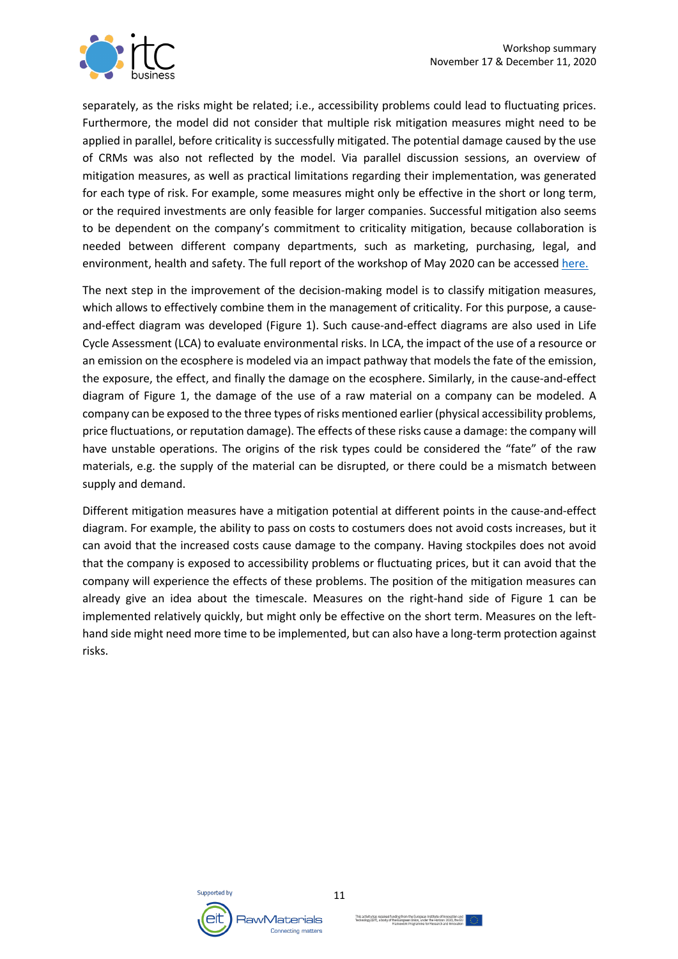

separately, as the risks might be related; i.e., accessibility problems could lead to fluctuating prices. Furthermore, the model did not consider that multiple risk mitigation measures might need to be applied in parallel, before criticality is successfully mitigated. The potential damage caused by the use of CRMs was also not reflected by the model. Via parallel discussion sessions, an overview of mitigation measures, as well as practical limitations regarding their implementation, was generated for each type of risk. For example, some measures might only be effective in the short or long term, or the required investments are only feasible for larger companies. Successful mitigation also seems to be dependent on the company's commitment to criticality mitigation, because collaboration is needed between different company departments, such as marketing, purchasing, legal, and environment, health and safety. The full report of the workshop of May 2020 can be accessed here.

The next step in the improvement of the decision-making model is to classify mitigation measures, which allows to effectively combine them in the management of criticality. For this purpose, a causeand-effect diagram was developed (Figure 1). Such cause-and-effect diagrams are also used in Life Cycle Assessment (LCA) to evaluate environmental risks. In LCA, the impact of the use of a resource or an emission on the ecosphere is modeled via an impact pathway that models the fate of the emission, the exposure, the effect, and finally the damage on the ecosphere. Similarly, in the cause-and-effect diagram of Figure 1, the damage of the use of a raw material on a company can be modeled. A company can be exposed to the three types of risks mentioned earlier (physical accessibility problems, price fluctuations, or reputation damage). The effects of these risks cause a damage: the company will have unstable operations. The origins of the risk types could be considered the "fate" of the raw materials, e.g. the supply of the material can be disrupted, or there could be a mismatch between supply and demand.

Different mitigation measures have a mitigation potential at different points in the cause-and-effect diagram. For example, the ability to pass on costs to costumers does not avoid costs increases, but it can avoid that the increased costs cause damage to the company. Having stockpiles does not avoid that the company is exposed to accessibility problems or fluctuating prices, but it can avoid that the company will experience the effects of these problems. The position of the mitigation measures can already give an idea about the timescale. Measures on the right-hand side of Figure 1 can be implemented relatively quickly, but might only be effective on the short term. Measures on the lefthand side might need more time to be implemented, but can also have a long-term protection against risks.

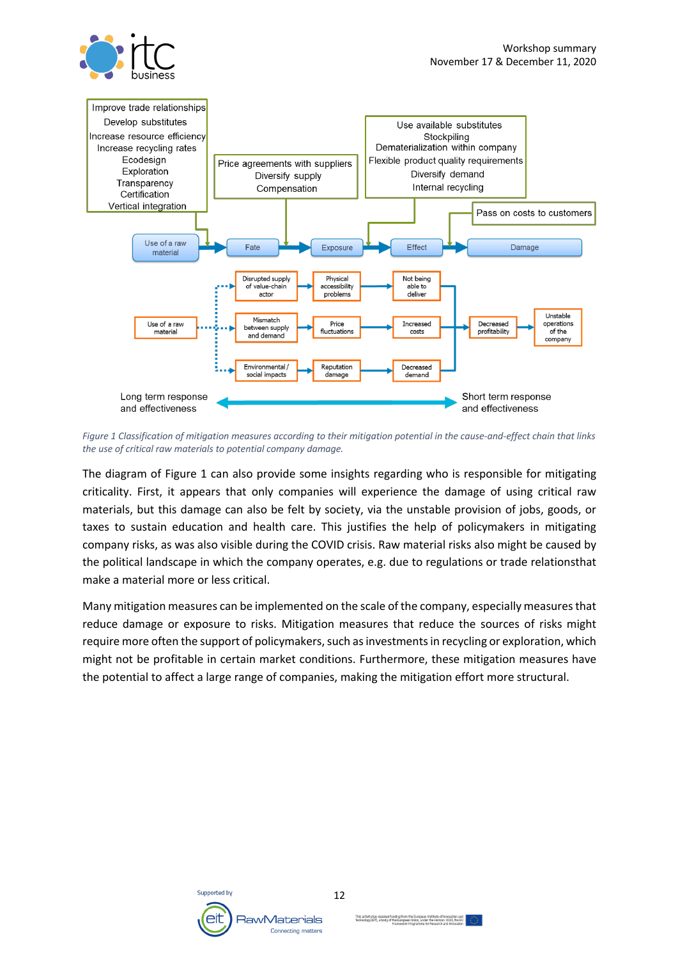

*Figure 1 Classification of mitigation measures according to their mitigation potential in the cause-and-effect chain that links the use of critical raw materials to potential company damage.*

The diagram of Figure 1 can also provide some insights regarding who is responsible for mitigating criticality. First, it appears that only companies will experience the damage of using critical raw materials, but this damage can also be felt by society, via the unstable provision of jobs, goods, or taxes to sustain education and health care. This justifies the help of policymakers in mitigating company risks, as was also visible during the COVID crisis. Raw material risks also might be caused by the political landscape in which the company operates, e.g. due to regulations or trade relationsthat make a material more or less critical.

Many mitigation measures can be implemented on the scale of the company, especially measures that reduce damage or exposure to risks. Mitigation measures that reduce the sources of risks might require more often the support of policymakers, such as investments in recycling or exploration, which might not be profitable in certain market conditions. Furthermore, these mitigation measures have the potential to affect a large range of companies, making the mitigation effort more structural.

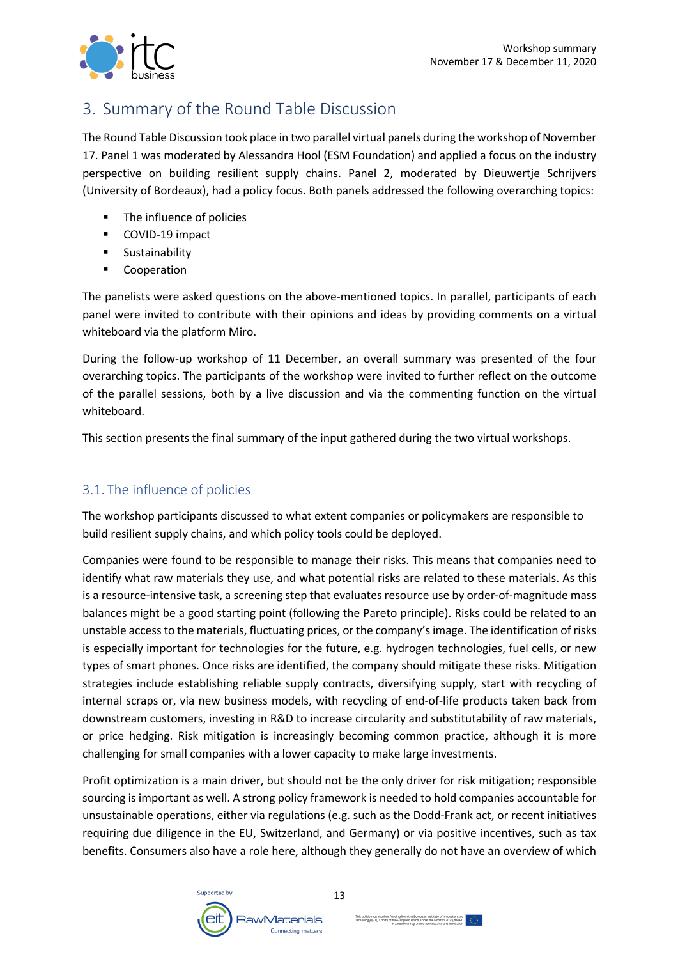

## 3. Summary of the Round Table Discussion

The Round Table Discussion took place in two parallel virtual panels during the workshop of November 17. Panel 1 was moderated by Alessandra Hool (ESM Foundation) and applied a focus on the industry perspective on building resilient supply chains. Panel 2, moderated by Dieuwertje Schrijvers (University of Bordeaux), had a policy focus. Both panels addressed the following overarching topics:

- The influence of policies
- COVID-19 impact
- § Sustainability
- Cooperation

The panelists were asked questions on the above-mentioned topics. In parallel, participants of each panel were invited to contribute with their opinions and ideas by providing comments on a virtual whiteboard via the platform Miro.

During the follow-up workshop of 11 December, an overall summary was presented of the four overarching topics. The participants of the workshop were invited to further reflect on the outcome of the parallel sessions, both by a live discussion and via the commenting function on the virtual whiteboard.

This section presents the final summary of the input gathered during the two virtual workshops.

#### 3.1. The influence of policies

The workshop participants discussed to what extent companies or policymakers are responsible to build resilient supply chains, and which policy tools could be deployed.

Companies were found to be responsible to manage their risks. This means that companies need to identify what raw materials they use, and what potential risks are related to these materials. As this is a resource-intensive task, a screening step that evaluates resource use by order-of-magnitude mass balances might be a good starting point (following the Pareto principle). Risks could be related to an unstable access to the materials, fluctuating prices, or the company's image. The identification of risks is especially important for technologies for the future, e.g. hydrogen technologies, fuel cells, or new types of smart phones. Once risks are identified, the company should mitigate these risks. Mitigation strategies include establishing reliable supply contracts, diversifying supply, start with recycling of internal scraps or, via new business models, with recycling of end-of-life products taken back from downstream customers, investing in R&D to increase circularity and substitutability of raw materials, or price hedging. Risk mitigation is increasingly becoming common practice, although it is more challenging for small companies with a lower capacity to make large investments.

Profit optimization is a main driver, but should not be the only driver for risk mitigation; responsible sourcing is important as well. A strong policy framework is needed to hold companies accountable for unsustainable operations, either via regulations (e.g. such as the Dodd-Frank act, or recent initiatives requiring due diligence in the EU, Switzerland, and Germany) or via positive incentives, such as tax benefits. Consumers also have a role here, although they generally do not have an overview of which

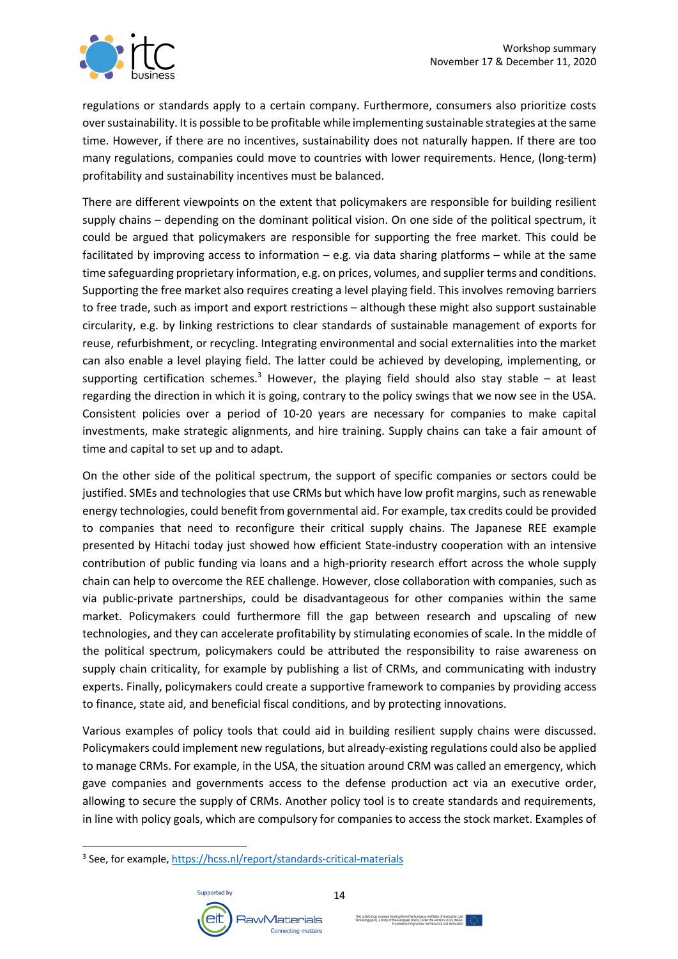

regulations or standards apply to a certain company. Furthermore, consumers also prioritize costs over sustainability. It is possible to be profitable while implementing sustainable strategies at the same time. However, if there are no incentives, sustainability does not naturally happen. If there are too many regulations, companies could move to countries with lower requirements. Hence, (long-term) profitability and sustainability incentives must be balanced.

There are different viewpoints on the extent that policymakers are responsible for building resilient supply chains – depending on the dominant political vision. On one side of the political spectrum, it could be argued that policymakers are responsible for supporting the free market. This could be facilitated by improving access to information – e.g. via data sharing platforms – while at the same time safeguarding proprietary information, e.g. on prices, volumes, and supplier terms and conditions. Supporting the free market also requires creating a level playing field. This involves removing barriers to free trade, such as import and export restrictions – although these might also support sustainable circularity, e.g. by linking restrictions to clear standards of sustainable management of exports for reuse, refurbishment, or recycling. Integrating environmental and social externalities into the market can also enable a level playing field. The latter could be achieved by developing, implementing, or supporting certification schemes.<sup>3</sup> However, the playing field should also stay stable  $-$  at least regarding the direction in which it is going, contrary to the policy swings that we now see in the USA. Consistent policies over a period of 10-20 years are necessary for companies to make capital investments, make strategic alignments, and hire training. Supply chains can take a fair amount of time and capital to set up and to adapt.

On the other side of the political spectrum, the support of specific companies or sectors could be justified. SMEs and technologies that use CRMs but which have low profit margins, such as renewable energy technologies, could benefit from governmental aid. For example, tax credits could be provided to companies that need to reconfigure their critical supply chains. The Japanese REE example presented by Hitachi today just showed how efficient State-industry cooperation with an intensive contribution of public funding via loans and a high-priority research effort across the whole supply chain can help to overcome the REE challenge. However, close collaboration with companies, such as via public-private partnerships, could be disadvantageous for other companies within the same market. Policymakers could furthermore fill the gap between research and upscaling of new technologies, and they can accelerate profitability by stimulating economies of scale. In the middle of the political spectrum, policymakers could be attributed the responsibility to raise awareness on supply chain criticality, for example by publishing a list of CRMs, and communicating with industry experts. Finally, policymakers could create a supportive framework to companies by providing access to finance, state aid, and beneficial fiscal conditions, and by protecting innovations.

Various examples of policy tools that could aid in building resilient supply chains were discussed. Policymakers could implement new regulations, but already-existing regulations could also be applied to manage CRMs. For example, in the USA, the situation around CRM was called an emergency, which gave companies and governments access to the defense production act via an executive order, allowing to secure the supply of CRMs. Another policy tool is to create standards and requirements, in line with policy goals, which are compulsory for companies to access the stock market. Examples of

<sup>3</sup> See, for example, https://hcss.nl/report/standards-critical-materials

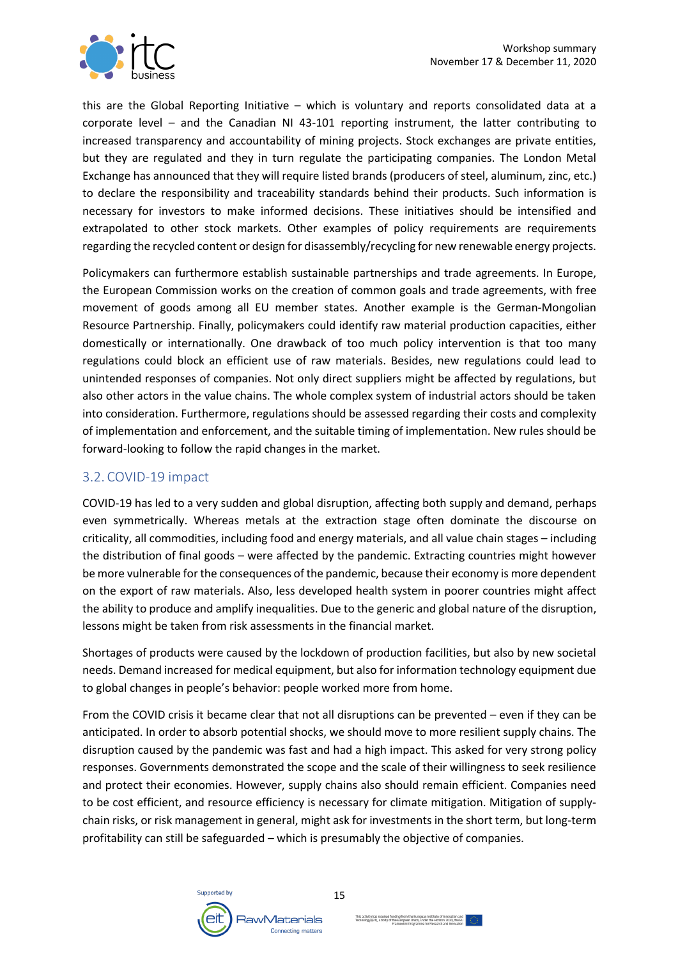

this are the Global Reporting Initiative – which is voluntary and reports consolidated data at a corporate level – and the Canadian NI 43-101 reporting instrument, the latter contributing to increased transparency and accountability of mining projects. Stock exchanges are private entities, but they are regulated and they in turn regulate the participating companies. The London Metal Exchange has announced that they will require listed brands (producers of steel, aluminum, zinc, etc.) to declare the responsibility and traceability standards behind their products. Such information is necessary for investors to make informed decisions. These initiatives should be intensified and extrapolated to other stock markets. Other examples of policy requirements are requirements regarding the recycled content or design for disassembly/recycling for new renewable energy projects.

Policymakers can furthermore establish sustainable partnerships and trade agreements. In Europe, the European Commission works on the creation of common goals and trade agreements, with free movement of goods among all EU member states. Another example is the German-Mongolian Resource Partnership. Finally, policymakers could identify raw material production capacities, either domestically or internationally. One drawback of too much policy intervention is that too many regulations could block an efficient use of raw materials. Besides, new regulations could lead to unintended responses of companies. Not only direct suppliers might be affected by regulations, but also other actors in the value chains. The whole complex system of industrial actors should be taken into consideration. Furthermore, regulations should be assessed regarding their costs and complexity of implementation and enforcement, and the suitable timing of implementation. New rules should be forward-looking to follow the rapid changes in the market.

#### 3.2. COVID-19 impact

COVID-19 has led to a very sudden and global disruption, affecting both supply and demand, perhaps even symmetrically. Whereas metals at the extraction stage often dominate the discourse on criticality, all commodities, including food and energy materials, and all value chain stages – including the distribution of final goods – were affected by the pandemic. Extracting countries might however be more vulnerable for the consequences of the pandemic, because their economy is more dependent on the export of raw materials. Also, less developed health system in poorer countries might affect the ability to produce and amplify inequalities. Due to the generic and global nature of the disruption, lessons might be taken from risk assessments in the financial market.

Shortages of products were caused by the lockdown of production facilities, but also by new societal needs. Demand increased for medical equipment, but also for information technology equipment due to global changes in people's behavior: people worked more from home.

From the COVID crisis it became clear that not all disruptions can be prevented – even if they can be anticipated. In order to absorb potential shocks, we should move to more resilient supply chains. The disruption caused by the pandemic was fast and had a high impact. This asked for very strong policy responses. Governments demonstrated the scope and the scale of their willingness to seek resilience and protect their economies. However, supply chains also should remain efficient. Companies need to be cost efficient, and resource efficiency is necessary for climate mitigation. Mitigation of supplychain risks, or risk management in general, might ask for investments in the short term, but long-term profitability can still be safeguarded – which is presumably the objective of companies.

15

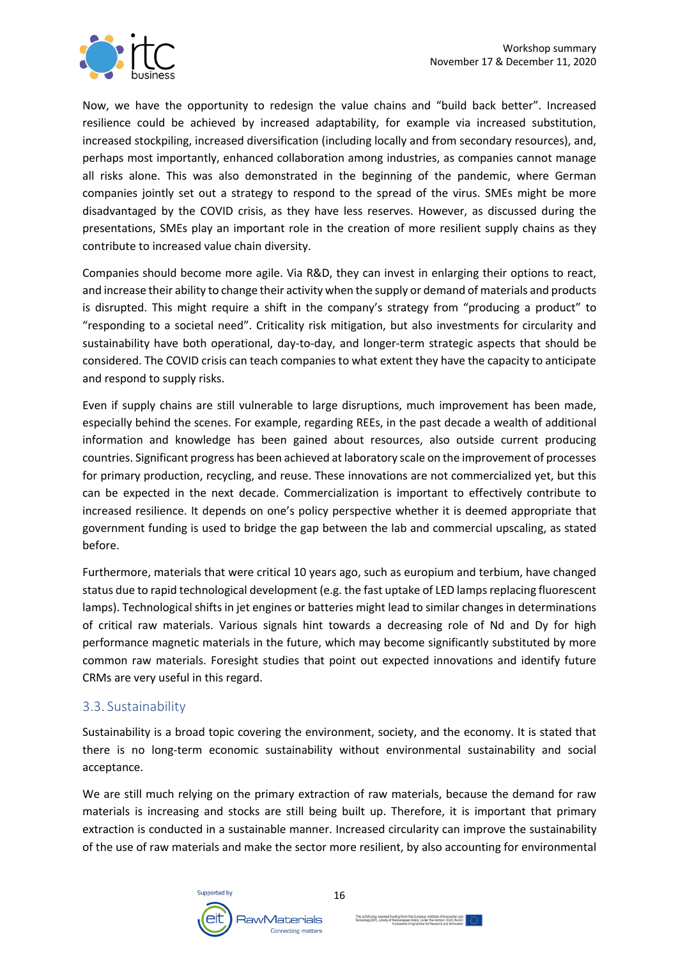

Now, we have the opportunity to redesign the value chains and "build back better". Increased resilience could be achieved by increased adaptability, for example via increased substitution, increased stockpiling, increased diversification (including locally and from secondary resources), and, perhaps most importantly, enhanced collaboration among industries, as companies cannot manage all risks alone. This was also demonstrated in the beginning of the pandemic, where German companies jointly set out a strategy to respond to the spread of the virus. SMEs might be more disadvantaged by the COVID crisis, as they have less reserves. However, as discussed during the presentations, SMEs play an important role in the creation of more resilient supply chains as they contribute to increased value chain diversity.

Companies should become more agile. Via R&D, they can invest in enlarging their options to react, and increase their ability to change their activity when the supply or demand of materials and products is disrupted. This might require a shift in the company's strategy from "producing a product" to "responding to a societal need". Criticality risk mitigation, but also investments for circularity and sustainability have both operational, day-to-day, and longer-term strategic aspects that should be considered. The COVID crisis can teach companies to what extent they have the capacity to anticipate and respond to supply risks.

Even if supply chains are still vulnerable to large disruptions, much improvement has been made, especially behind the scenes. For example, regarding REEs, in the past decade a wealth of additional information and knowledge has been gained about resources, also outside current producing countries. Significant progress has been achieved at laboratory scale on the improvement of processes for primary production, recycling, and reuse. These innovations are not commercialized yet, but this can be expected in the next decade. Commercialization is important to effectively contribute to increased resilience. It depends on one's policy perspective whether it is deemed appropriate that government funding is used to bridge the gap between the lab and commercial upscaling, as stated before.

Furthermore, materials that were critical 10 years ago, such as europium and terbium, have changed status due to rapid technological development (e.g. the fast uptake of LED lamps replacing fluorescent lamps). Technological shifts in jet engines or batteries might lead to similar changes in determinations of critical raw materials. Various signals hint towards a decreasing role of Nd and Dy for high performance magnetic materials in the future, which may become significantly substituted by more common raw materials. Foresight studies that point out expected innovations and identify future CRMs are very useful in this regard.

#### 3.3. Sustainability

Sustainability is a broad topic covering the environment, society, and the economy. It is stated that there is no long-term economic sustainability without environmental sustainability and social acceptance.

We are still much relying on the primary extraction of raw materials, because the demand for raw materials is increasing and stocks are still being built up. Therefore, it is important that primary extraction is conducted in a sustainable manner. Increased circularity can improve the sustainability of the use of raw materials and make the sector more resilient, by also accounting for environmental

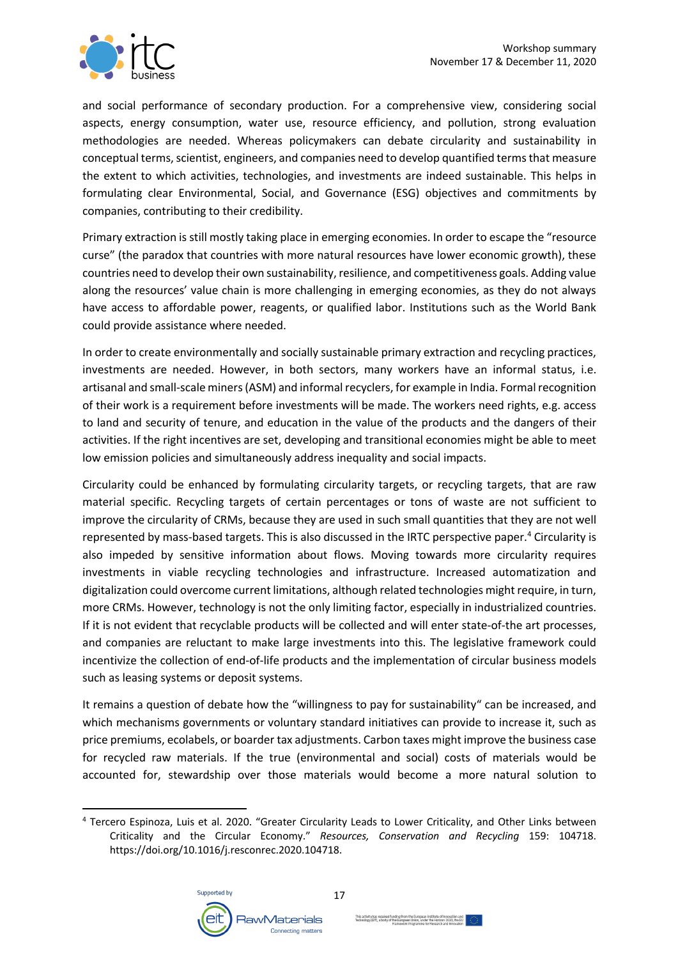

and social performance of secondary production. For a comprehensive view, considering social aspects, energy consumption, water use, resource efficiency, and pollution, strong evaluation methodologies are needed. Whereas policymakers can debate circularity and sustainability in conceptual terms, scientist, engineers, and companies need to develop quantified terms that measure the extent to which activities, technologies, and investments are indeed sustainable. This helps in formulating clear Environmental, Social, and Governance (ESG) objectives and commitments by companies, contributing to their credibility.

Primary extraction is still mostly taking place in emerging economies. In order to escape the "resource curse" (the paradox that countries with more natural resources have lower economic growth), these countries need to develop their own sustainability, resilience, and competitiveness goals. Adding value along the resources' value chain is more challenging in emerging economies, as they do not always have access to affordable power, reagents, or qualified labor. Institutions such as the World Bank could provide assistance where needed.

In order to create environmentally and socially sustainable primary extraction and recycling practices, investments are needed. However, in both sectors, many workers have an informal status, i.e. artisanal and small-scale miners (ASM) and informal recyclers, for example in India. Formal recognition of their work is a requirement before investments will be made. The workers need rights, e.g. access to land and security of tenure, and education in the value of the products and the dangers of their activities. If the right incentives are set, developing and transitional economies might be able to meet low emission policies and simultaneously address inequality and social impacts.

Circularity could be enhanced by formulating circularity targets, or recycling targets, that are raw material specific. Recycling targets of certain percentages or tons of waste are not sufficient to improve the circularity of CRMs, because they are used in such small quantities that they are not well represented by mass-based targets. This is also discussed in the IRTC perspective paper.<sup>4</sup> Circularity is also impeded by sensitive information about flows. Moving towards more circularity requires investments in viable recycling technologies and infrastructure. Increased automatization and digitalization could overcome current limitations, although related technologies might require, in turn, more CRMs. However, technology is not the only limiting factor, especially in industrialized countries. If it is not evident that recyclable products will be collected and will enter state-of-the art processes, and companies are reluctant to make large investments into this. The legislative framework could incentivize the collection of end-of-life products and the implementation of circular business models such as leasing systems or deposit systems.

It remains a question of debate how the "willingness to pay for sustainability" can be increased, and which mechanisms governments or voluntary standard initiatives can provide to increase it, such as price premiums, ecolabels, or boarder tax adjustments. Carbon taxes might improve the business case for recycled raw materials. If the true (environmental and social) costs of materials would be accounted for, stewardship over those materials would become a more natural solution to

<sup>4</sup> Tercero Espinoza, Luis et al. 2020. "Greater Circularity Leads to Lower Criticality, and Other Links between Criticality and the Circular Economy." *Resources, Conservation and Recycling* 159: 104718. https://doi.org/10.1016/j.resconrec.2020.104718.

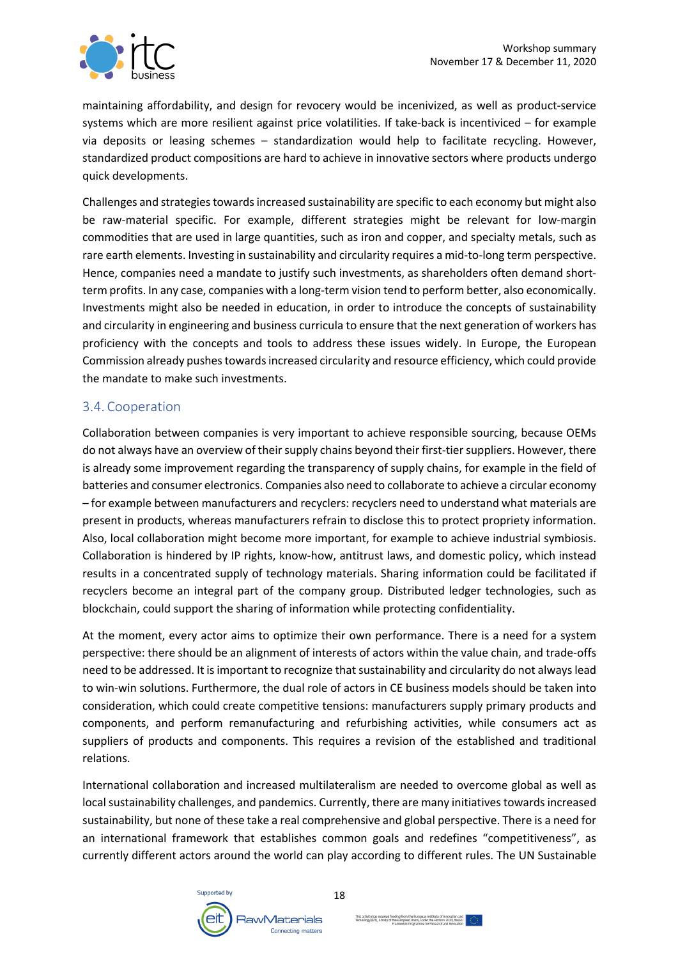

maintaining affordability, and design for revocery would be incenivized, as well as product-service systems which are more resilient against price volatilities. If take-back is incentiviced – for example via deposits or leasing schemes – standardization would help to facilitate recycling. However, standardized product compositions are hard to achieve in innovative sectors where products undergo quick developments.

Challenges and strategies towards increased sustainability are specific to each economy but might also be raw-material specific. For example, different strategies might be relevant for low-margin commodities that are used in large quantities, such as iron and copper, and specialty metals, such as rare earth elements. Investing in sustainability and circularity requires a mid-to-long term perspective. Hence, companies need a mandate to justify such investments, as shareholders often demand shortterm profits. In any case, companies with a long-term vision tend to perform better, also economically. Investments might also be needed in education, in order to introduce the concepts of sustainability and circularity in engineering and business curricula to ensure that the next generation of workers has proficiency with the concepts and tools to address these issues widely. In Europe, the European Commission already pushes towards increased circularity and resource efficiency, which could provide the mandate to make such investments.

#### 3.4. Cooperation

Collaboration between companies is very important to achieve responsible sourcing, because OEMs do not always have an overview of their supply chains beyond their first-tier suppliers. However, there is already some improvement regarding the transparency of supply chains, for example in the field of batteries and consumer electronics. Companies also need to collaborate to achieve a circular economy – for example between manufacturers and recyclers: recyclers need to understand what materials are present in products, whereas manufacturers refrain to disclose this to protect propriety information. Also, local collaboration might become more important, for example to achieve industrial symbiosis. Collaboration is hindered by IP rights, know-how, antitrust laws, and domestic policy, which instead results in a concentrated supply of technology materials. Sharing information could be facilitated if recyclers become an integral part of the company group. Distributed ledger technologies, such as blockchain, could support the sharing of information while protecting confidentiality.

At the moment, every actor aims to optimize their own performance. There is a need for a system perspective: there should be an alignment of interests of actors within the value chain, and trade-offs need to be addressed. It is important to recognize that sustainability and circularity do not always lead to win-win solutions. Furthermore, the dual role of actors in CE business models should be taken into consideration, which could create competitive tensions: manufacturers supply primary products and components, and perform remanufacturing and refurbishing activities, while consumers act as suppliers of products and components. This requires a revision of the established and traditional relations.

International collaboration and increased multilateralism are needed to overcome global as well as local sustainability challenges, and pandemics. Currently, there are many initiatives towards increased sustainability, but none of these take a real comprehensive and global perspective. There is a need for an international framework that establishes common goals and redefines "competitiveness", as currently different actors around the world can play according to different rules. The UN Sustainable